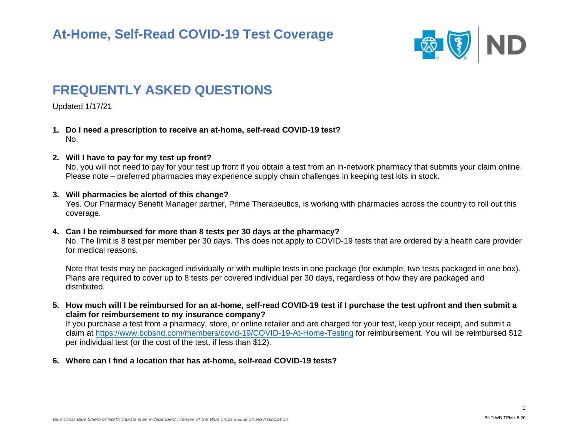

# **FREQUENTLY ASKED QUESTIONS**

Updated 1/17/21

- **1. Do I need a prescription to receive an at-home, self-read COVID-19 test?** No.
- **2. Will I have to pay for my test up front?**

No, you will not need to pay for your test up front if you obtain a test from an in-network pharmacy that submits your claim online. Please note – preferred pharmacies may experience supply chain challenges in keeping test kits in stock.

### **3. Will pharmacies be alerted of this change?**

Yes. Our Pharmacy Benefit Manager partner, Prime Therapeutics, is working with pharmacies across the country to roll out this coverage.

#### **4. Can I be reimbursed for more than 8 tests per 30 days at the pharmacy?**

No. The limit is 8 test per member per 30 days. This does not apply to COVID-19 tests that are ordered by a health care provider for medical reasons.

Note that tests may be packaged individually or with multiple tests in one package (for example, two tests packaged in one box). Plans are required to cover up to 8 tests per covered individual per 30 days, regardless of how they are packaged and distributed.

**5. How much will I be reimbursed for an at-home, self-read COVID-19 test if I purchase the test upfront and then submit a claim for reimbursement to my insurance company?**

If you purchase a test from a pharmacy, store, or online retailer and are charged for your test, keep your receipt, and submit a claim at<https://www.bcbsnd.com/members/covid-19/COVID-19-At-Home-Testing> for reimbursement. You will be reimbursed \$12 per individual test (or the cost of the test, if less than \$12).

**6. Where can I find a location that has at-home, self-read COVID-19 tests?**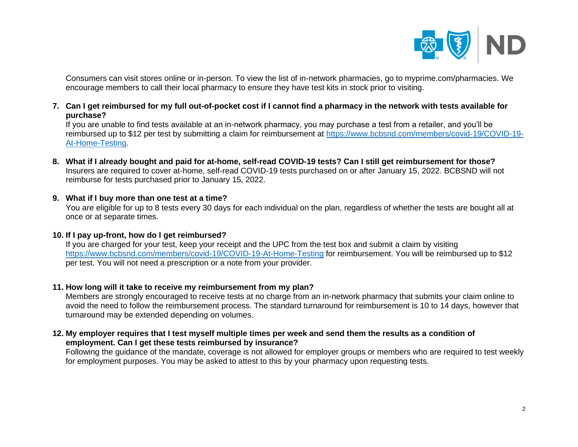

Consumers can visit stores online or in-person. To view the list of in-network pharmacies, go to myprime.com/pharmacies. We encourage members to call their local pharmacy to ensure they have test kits in stock prior to visiting.

**7. Can I get reimbursed for my full out-of-pocket cost if I cannot find a pharmacy in the network with tests available for purchase?**

If you are unable to find tests available at an in-network pharmacy, you may purchase a test from a retailer, and you'll be reimbursed up to \$12 per test by submitting a claim for reimbursement at [https://www.bcbsnd.com/members/covid-19/COVID-19-](https://www.bcbsnd.com/members/covid-19/COVID-19-At-Home-Testing) [At-Home-Testing.](https://www.bcbsnd.com/members/covid-19/COVID-19-At-Home-Testing)

- **8. What if I already bought and paid for at-home, self-read COVID-19 tests? Can I still get reimbursement for those?** Insurers are required to cover at-home, self-read COVID-19 tests purchased on or after January 15, 2022. BCBSND will not reimburse for tests purchased prior to January 15, 2022.
- **9. What if I buy more than one test at a time?**

You are eligible for up to 8 tests every 30 days for each individual on the plan, regardless of whether the tests are bought all at once or at separate times.

### **10. If I pay up-front, how do I get reimbursed?**

If you are charged for your test, keep your receipt and the UPC from the test box and submit a claim by visiting <https://www.bcbsnd.com/members/covid-19/COVID-19-At-Home-Testing> for reimbursement. You will be reimbursed up to \$12 per test. You will not need a prescription or a note from your provider.

# **11. How long will it take to receive my reimbursement from my plan?**

Members are strongly encouraged to receive tests at no charge from an in-network pharmacy that submits your claim online to avoid the need to follow the reimbursement process. The standard turnaround for reimbursement is 10 to 14 days, however that turnaround may be extended depending on volumes.

**12. My employer requires that I test myself multiple times per week and send them the results as a condition of employment. Can I get these tests reimbursed by insurance?**

Following the guidance of the mandate, coverage is not allowed for employer groups or members who are required to test weekly for employment purposes. You may be asked to attest to this by your pharmacy upon requesting tests.